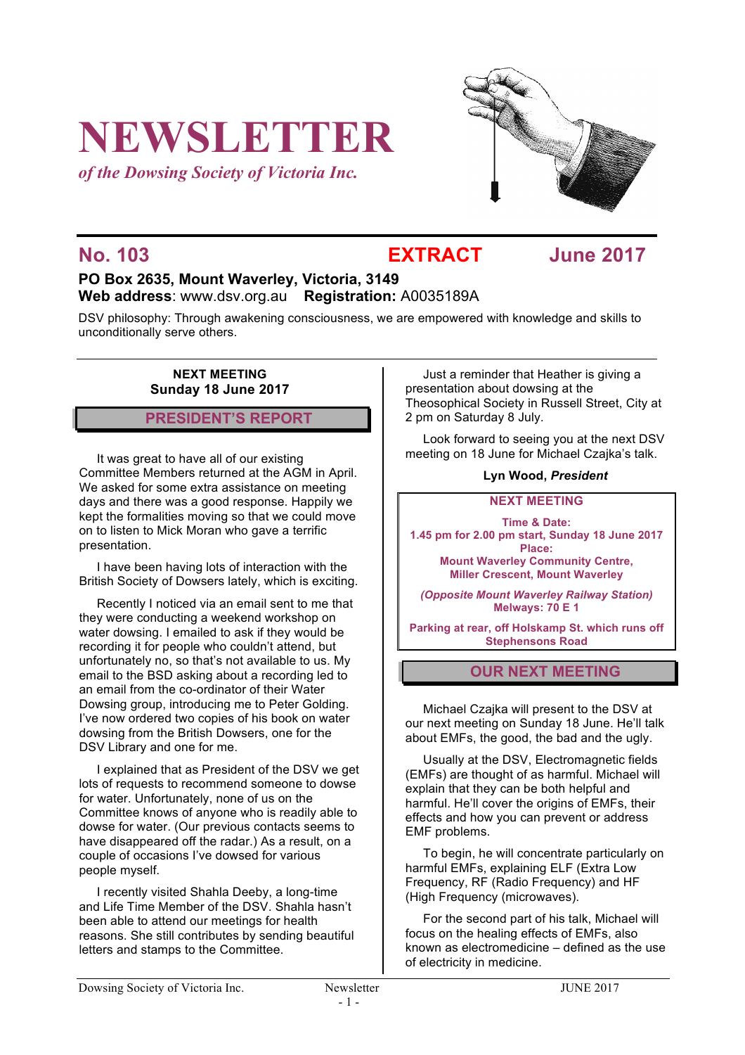# **NEWSLETTER**

*of the Dowsing Society of Victoria Inc.*



### **No. 103 EXTRACT June 2017**

### **PO Box 2635, Mount Waverley, Victoria, 3149 Web address**: www.dsv.org.au **Registration:** A0035189A

DSV philosophy: Through awakening consciousness, we are empowered with knowledge and skills to unconditionally serve others.

> **NEXT MEETING Sunday 18 June 2017**

#### **PRESIDENT'S REPORT**

It was great to have all of our existing Committee Members returned at the AGM in April. We asked for some extra assistance on meeting days and there was a good response. Happily we kept the formalities moving so that we could move on to listen to Mick Moran who gave a terrific presentation.

I have been having lots of interaction with the British Society of Dowsers lately, which is exciting.

Recently I noticed via an email sent to me that they were conducting a weekend workshop on water dowsing. I emailed to ask if they would be recording it for people who couldn't attend, but unfortunately no, so that's not available to us. My email to the BSD asking about a recording led to an email from the co-ordinator of their Water Dowsing group, introducing me to Peter Golding. I've now ordered two copies of his book on water dowsing from the British Dowsers, one for the DSV Library and one for me.

I explained that as President of the DSV we get lots of requests to recommend someone to dowse for water. Unfortunately, none of us on the Committee knows of anyone who is readily able to dowse for water. (Our previous contacts seems to have disappeared off the radar.) As a result, on a couple of occasions I've dowsed for various people myself.

I recently visited Shahla Deeby, a long-time and Life Time Member of the DSV. Shahla hasn't been able to attend our meetings for health reasons. She still contributes by sending beautiful letters and stamps to the Committee.

Just a reminder that Heather is giving a presentation about dowsing at the Theosophical Society in Russell Street, City at 2 pm on Saturday 8 July.

Look forward to seeing you at the next DSV meeting on 18 June for Michael Czajka's talk.

#### **Lyn Wood,** *President*

#### **NEXT MEETING**

**Time & Date: 1.45 pm for 2.00 pm start, Sunday 18 June 2017 Place:**

**Mount Waverley Community Centre, Miller Crescent, Mount Waverley**

*(Opposite Mount Waverley Railway Station)* **Melways: 70 E 1**

**Parking at rear, off Holskamp St. which runs off Stephensons Road**

#### **OUR NEXT MEETING**

Michael Czajka will present to the DSV at our next meeting on Sunday 18 June. He'll talk about EMFs, the good, the bad and the ugly.

Usually at the DSV, Electromagnetic fields (EMFs) are thought of as harmful. Michael will explain that they can be both helpful and harmful. He'll cover the origins of EMFs, their effects and how you can prevent or address EMF problems.

To begin, he will concentrate particularly on harmful EMFs, explaining ELF (Extra Low Frequency, RF (Radio Frequency) and HF (High Frequency (microwaves).

For the second part of his talk, Michael will focus on the healing effects of EMFs, also known as electromedicine – defined as the use of electricity in medicine.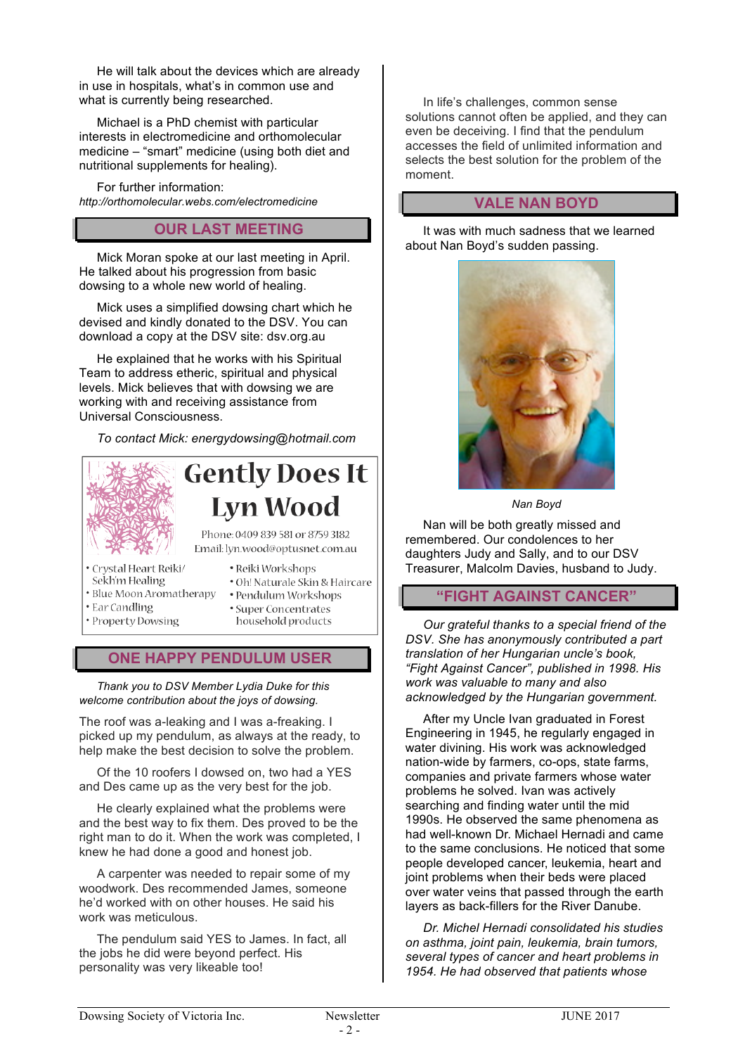He will talk about the devices which are already in use in hospitals, what's in common use and what is currently being researched.

Michael is a PhD chemist with particular interests in electromedicine and orthomolecular medicine – "smart" medicine (using both diet and nutritional supplements for healing).

For further information: *http://orthomolecular.webs.com/electromedicine*

#### **OUR LAST MEETING**

Mick Moran spoke at our last meeting in April. He talked about his progression from basic dowsing to a whole new world of healing.

Mick uses a simplified dowsing chart which he devised and kindly donated to the DSV. You can download a copy at the DSV site: dsv.org.au

He explained that he works with his Spiritual Team to address etheric, spiritual and physical levels. Mick believes that with dowsing we are working with and receiving assistance from Universal Consciousness.

*To contact Mick: energydowsing@hotmail.com*



## **Gently Does It Lyn Wood**

Phone: 0409 839 581 or 8759 3182 Email: lyn.wood@optusnet.com.au

- · Crystal Heart Reiki/
- Sekh'm Healing
- · Blue Moon Aromatherapy
- Ear Candling
- · Property Dowsing
- · Oh! Naturale Skin & Haircare · Pendulum Workshops
- 

· Reiki Workshops

· Super Concentrates household products

### **ONE HAPPY PENDULUM USER**

*Thank you to DSV Member Lydia Duke for this welcome contribution about the joys of dowsing.* 

The roof was a-leaking and I was a-freaking. I picked up my pendulum, as always at the ready, to help make the best decision to solve the problem.

Of the 10 roofers I dowsed on, two had a YES and Des came up as the very best for the job.

He clearly explained what the problems were and the best way to fix them. Des proved to be the right man to do it. When the work was completed, I knew he had done a good and honest job.

A carpenter was needed to repair some of my woodwork. Des recommended James, someone he'd worked with on other houses. He said his work was meticulous.

The pendulum said YES to James. In fact, all the jobs he did were beyond perfect. His personality was very likeable too!

In life's challenges, common sense solutions cannot often be applied, and they can even be deceiving. I find that the pendulum accesses the field of unlimited information and selects the best solution for the problem of the moment.

#### **VALE NAN BOYD**

It was with much sadness that we learned about Nan Boyd's sudden passing.



*Nan Boyd*

Nan will be both greatly missed and remembered. Our condolences to her daughters Judy and Sally, and to our DSV Treasurer, Malcolm Davies, husband to Judy.

#### **"FIGHT AGAINST CANCER"**

*Our grateful thanks to a special friend of the DSV. She has anonymously contributed a part translation of her Hungarian uncle's book, "Fight Against Cancer", published in 1998. His work was valuable to many and also acknowledged by the Hungarian government.*

After my Uncle Ivan graduated in Forest Engineering in 1945, he regularly engaged in water divining. His work was acknowledged nation-wide by farmers, co-ops, state farms, companies and private farmers whose water problems he solved. Ivan was actively searching and finding water until the mid 1990s. He observed the same phenomena as had well-known Dr. Michael Hernadi and came to the same conclusions. He noticed that some people developed cancer, leukemia, heart and joint problems when their beds were placed over water veins that passed through the earth layers as back-fillers for the River Danube.

*Dr. Michel Hernadi consolidated his studies on asthma, joint pain, leukemia, brain tumors, several types of cancer and heart problems in 1954. He had observed that patients whose*